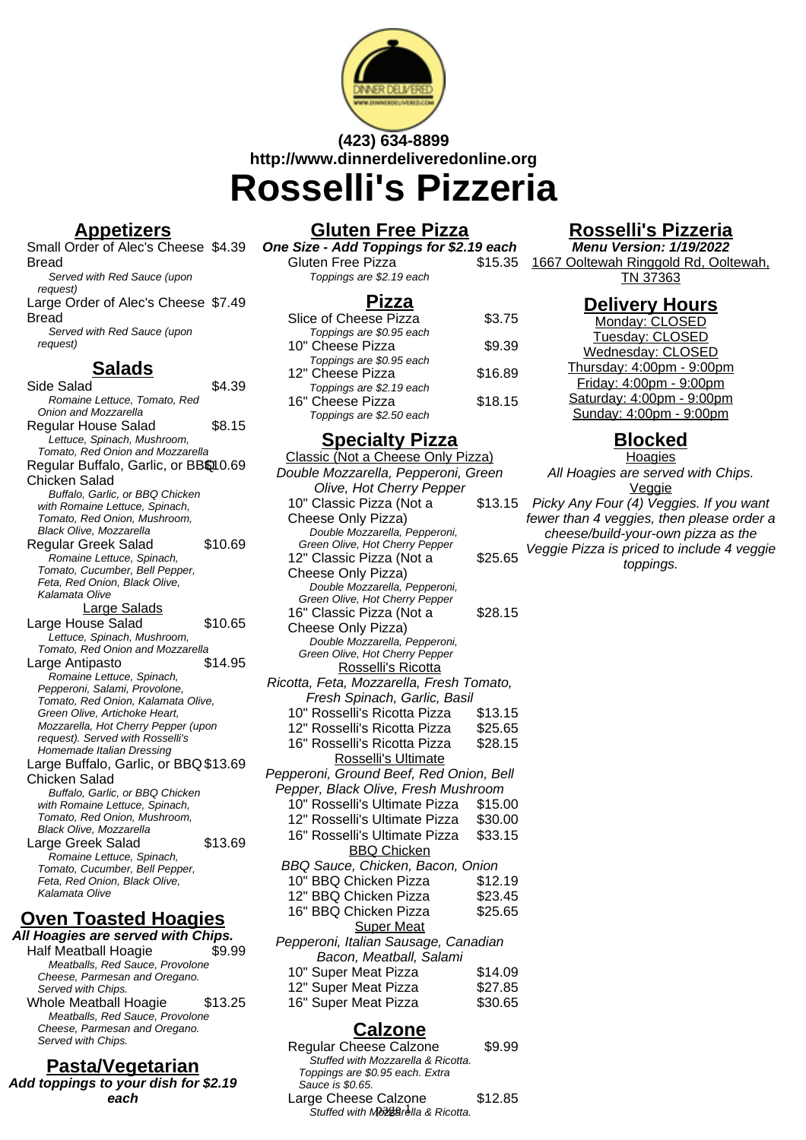

# **(423) 634-8899 http://www.dinnerdeliveredonline.org Rosselli's Pizzeria**

### **Appetizers**

Small Order of Alec's Cheese \$4.39 Bread Served with Red Sauce (upon request) Large Order of Alec's Cheese \$7.49 **Bread** Served with Red Sauce (upon request)

# **Salads**

| Side Salad                                                 | \$4.39  |
|------------------------------------------------------------|---------|
| Romaine Lettuce, Tomato, Red                               |         |
| Onion and Mozzarella                                       |         |
| Regular House Salad                                        | \$8.15  |
| Lettuce, Spinach, Mushroom,                                |         |
| Tomato, Red Onion and Mozzarella                           |         |
| Regular Buffalo, Garlic, or BB\$10.69                      |         |
| Chicken Salad                                              |         |
| Buffalo, Garlic, or BBQ Chicken                            |         |
| with Romaine Lettuce, Spinach,                             |         |
| Tomato, Red Onion, Mushroom,                               |         |
| <b>Black Olive, Mozzarella</b>                             |         |
| Regular Greek Salad                                        | \$10.69 |
| Romaine Lettuce, Spinach,                                  |         |
| Tomato, Cucumber, Bell Pepper,                             |         |
| Feta, Red Onion, Black Olive,                              |         |
| Kalamata Olive                                             |         |
| <u>Large Salads</u>                                        |         |
| Large House Salad                                          | \$10.65 |
| Lettuce, Spinach, Mushroom,                                |         |
| Tomato, Red Onion and Mozzarella                           |         |
|                                                            | \$14.95 |
| Large Antipasto                                            |         |
| Romaine Lettuce, Spinach,<br>Pepperoni, Salami, Provolone, |         |
| Tomato, Red Onion, Kalamata Olive,                         |         |
| Green Olive, Artichoke Heart,                              |         |
| Mozzarella, Hot Cherry Pepper (upon                        |         |
| request). Served with Rosselli's                           |         |
| Homemade Italian Dressing                                  |         |
| Large Buffalo, Garlic, or BBQ \$13.69                      |         |
| Chicken Salad                                              |         |
| Buffalo, Garlic, or BBQ Chicken                            |         |
| with Romaine Lettuce, Spinach,                             |         |
| Tomato, Red Onion, Mushroom,                               |         |
| <b>Black Olive, Mozzarella</b>                             |         |
| Large Greek Salad                                          | \$13.69 |
| Romaine Lettuce, Spinach,                                  |         |
| Tomato, Cucumber, Bell Pepper,                             |         |
| Feta, Red Onion, Black Olive,                              |         |
| Kalamata Olive                                             |         |
|                                                            |         |

# **Oven Toasted Hoagies**

**All Hoagies are served with Chips.** Half Meatball Hoagie \$9.99 Meatballs, Red Sauce, Provolone Cheese, Parmesan and Oregano. Served with Chips. Whole Meatball Hoagie \$13.25 Meatballs, Red Sauce, Provolone Cheese, Parmesan and Oregano. Served with Chips.

#### **Pasta/Vegetarian**

**Add toppings to your dish for \$2.19 each**

#### **Gluten Free Pizza**

**One Size - Add Toppings for \$2.19 each** Gluten Free Pizza \$15.35 Toppings are \$2.19 each

#### **Pizza**

| Slice of Cheese Pizza    | \$3.75  |
|--------------------------|---------|
| Toppings are \$0.95 each |         |
| 10" Cheese Pizza         | \$9.39  |
| Toppings are \$0.95 each |         |
| 12" Cheese Pizza         | \$16.89 |
| Toppings are \$2.19 each |         |
| 16" Cheese Pizza         | \$18.15 |
| Toppings are \$2.50 each |         |

### **Specialty Pizza**

| <u>Specialty Pizza</u>                   |         |  |
|------------------------------------------|---------|--|
| Classic (Not a Cheese Only Pizza)        |         |  |
| Double Mozzarella, Pepperoni, Green      |         |  |
| Olive, Hot Cherry Pepper                 |         |  |
| 10" Classic Pizza (Not a                 | \$13.15 |  |
| Cheese Only Pizza)                       |         |  |
| Double Mozzarella, Pepperoni,            |         |  |
| Green Olive, Hot Cherry Pepper           |         |  |
| 12" Classic Pizza (Not a                 | \$25.65 |  |
| Cheese Only Pizza)                       |         |  |
| Double Mozzarella, Pepperoni,            |         |  |
| Green Olive, Hot Cherry Pepper           |         |  |
| 16" Classic Pizza (Not a                 | \$28.15 |  |
| Cheese Only Pizza)                       |         |  |
| Double Mozzarella, Pepperoni,            |         |  |
| Green Olive, Hot Cherry Pepper           |         |  |
| Rosselli's Ricotta                       |         |  |
| Ricotta, Feta, Mozzarella, Fresh Tomato, |         |  |
| Fresh Spinach, Garlic, Basil             |         |  |
| 10" Rosselli's Ricotta Pizza             | \$13.15 |  |
| 12" Rosselli's Ricotta Pizza             | \$25.65 |  |
| 16" Rosselli's Ricotta Pizza             | \$28.15 |  |
| <b>Rosselli's Ultimate</b>               |         |  |
| Pepperoni, Ground Beef, Red Onion, Bell  |         |  |
| Pepper, Black Olive, Fresh Mushroom      |         |  |
| 10" Rosselli's Ultimate Pizza            | \$15.00 |  |
| 12" Rosselli's Ultimate Pizza            | \$30.00 |  |
| 16" Rosselli's Ultimate Pizza            | \$33.15 |  |
| <b>BBQ Chicken</b>                       |         |  |
| BBQ Sauce, Chicken, Bacon, Onion         |         |  |
| 10" BBQ Chicken Pizza                    | \$12.19 |  |
| 12" BBQ Chicken Pizza                    | \$23.45 |  |
| 16" BBQ Chicken Pizza                    | \$25.65 |  |
| <b>Super Meat</b>                        |         |  |
| Pepperoni, Italian Sausage, Canadian     |         |  |
| Bacon, Meatball, Salami                  |         |  |
| 10" Super Meat Pizza                     | \$14.09 |  |
| 12" Super Meat Pizza                     | \$27.85 |  |
| 16" Super Meat Pizza                     | \$30.65 |  |

### **Calzone**

Regular Cheese Calzone \$9.99 Stuffed with Mozzarella & Ricotta. Toppings are \$0.95 each. Extra Sauce is \$0.65. Large Cheese Calzone \$12.85 Stuffed with Morrella & Ricotta.

# **Rosselli's Pizzeria**

**Menu Version: 1/19/2022** 1667 Ooltewah Ringgold Rd, Ooltewah, TN 37363

#### **Delivery Hours**

Monday: CLOSED Tuesday: CLOSED Wednesday: CLOSED Thursday: 4:00pm - 9:00pm Friday: 4:00pm - 9:00pm Saturday: 4:00pm - 9:00pm Sunday: 4:00pm - 9:00pm

# **Blocked**

**Hoagies** All Hoagies are served with Chips. Veggie Picky Any Four (4) Veggies. If you want fewer than 4 veggies, then please order a cheese/build-your-own pizza as the Veggie Pizza is priced to include 4 veggie toppings.